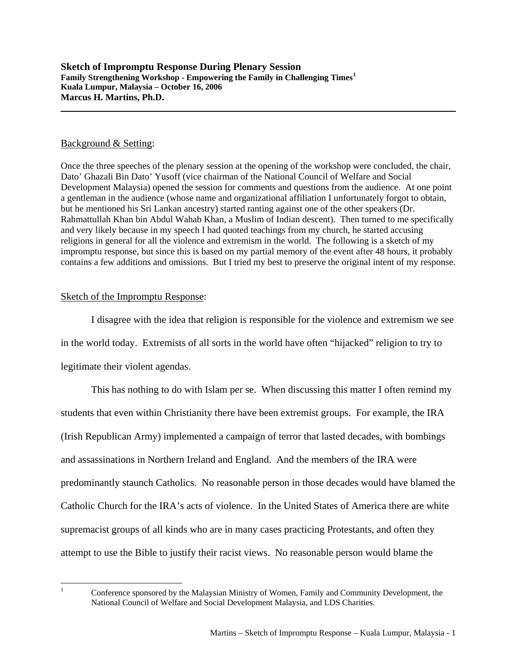## Background & Setting:

Once the three speeches of the plenary session at the opening of the workshop were concluded, the chair, Dato' Ghazali Bin Dato' Yusoff (vice chairman of the National Council of Welfare and Social Development Malaysia) opened the session for comments and questions from the audience. At one point a gentleman in the audience (whose name and organizational affiliation I unfortunately forgot to obtain, but he mentioned his Sri Lankan ancestry) started ranting against one of the other speakers (Dr. Rahmattullah Khan bin Abdul Wahab Khan, a Muslim of Indian descent). Then turned to me specifically and very likely because in my speech I had quoted teachings from my church, he started accusing religions in general for all the violence and extremism in the world. The following is a sketch of my impromptu response, but since this is based on my partial memory of the event after 48 hours, it probably contains a few additions and omissions. But I tried my best to preserve the original intent of my response.

## Sketch of the Impromptu Response:

I disagree with the idea that religion is responsible for the violence and extremism we see in the world today. Extremists of all sorts in the world have often "hijacked" religion to try to legitimate their violent agendas.

This has nothing to do with Islam per se. When discussing this matter I often remind my students that even within Christianity there have been extremist groups. For example, the IRA (Irish Republican Army) implemented a campaign of terror that lasted decades, with bombings and assassinations in Northern Ireland and England. And the members of the IRA were predominantly staunch Catholics. No reasonable person in those decades would have blamed the Catholic Church for the IRA's acts of violence. In the United States of America there are white supremacist groups of all kinds who are in many cases practicing Protestants, and often they attempt to use the Bible to justify their racist views. No reasonable person would blame the

<span id="page-0-0"></span> $\frac{1}{1}$ 

Conference sponsored by the Malaysian Ministry of Women, Family and Community Development, the National Council of Welfare and Social Development Malaysia, and LDS Charities.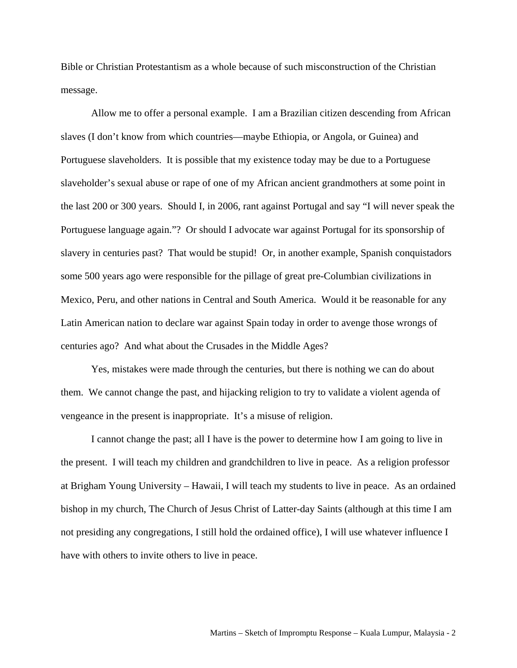Bible or Christian Protestantism as a whole because of such misconstruction of the Christian message.

Allow me to offer a personal example. I am a Brazilian citizen descending from African slaves (I don't know from which countries—maybe Ethiopia, or Angola, or Guinea) and Portuguese slaveholders. It is possible that my existence today may be due to a Portuguese slaveholder's sexual abuse or rape of one of my African ancient grandmothers at some point in the last 200 or 300 years. Should I, in 2006, rant against Portugal and say "I will never speak the Portuguese language again."? Or should I advocate war against Portugal for its sponsorship of slavery in centuries past? That would be stupid! Or, in another example, Spanish conquistadors some 500 years ago were responsible for the pillage of great pre-Columbian civilizations in Mexico, Peru, and other nations in Central and South America. Would it be reasonable for any Latin American nation to declare war against Spain today in order to avenge those wrongs of centuries ago? And what about the Crusades in the Middle Ages?

Yes, mistakes were made through the centuries, but there is nothing we can do about them. We cannot change the past, and hijacking religion to try to validate a violent agenda of vengeance in the present is inappropriate. It's a misuse of religion.

I cannot change the past; all I have is the power to determine how I am going to live in the present. I will teach my children and grandchildren to live in peace. As a religion professor at Brigham Young University – Hawaii, I will teach my students to live in peace. As an ordained bishop in my church, The Church of Jesus Christ of Latter-day Saints (although at this time I am not presiding any congregations, I still hold the ordained office), I will use whatever influence I have with others to invite others to live in peace.